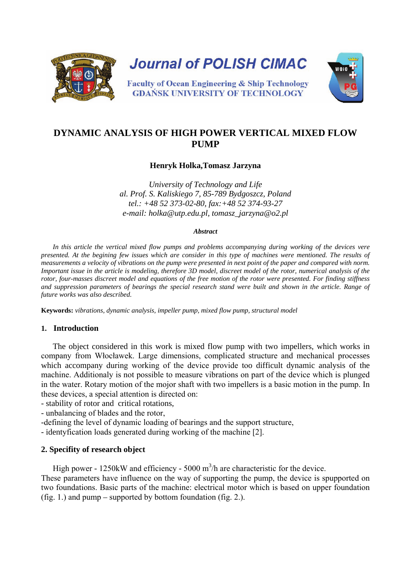

# **DYNAMIC ANALYSIS OF HIGH POWER VERTICAL MIXED FLOW PUMP**

### **Henryk Holka,Tomasz Jarzyna**

*University of Technology and Life al. Prof. S. Kaliskiego 7, 85-789 Bydgoszcz, Poland tel.: +48 52 373-02-80, fax:+48 52 374-93-27 e-mail: holka@utp.edu.pl, tomasz\_jarzyna@o2.pl* 

#### *Abstract*

*In this article the vertical mixed flow pumps and problems accompanying during working of the devices vere presented. At the begining few issues which are consider in this type of machines were mentioned. The results of measurements a velocity of vibrations on the pump were presented in next point of the paper and compared with norm. Important issue in the article is modeling, therefore 3D model, discreet model of the rotor, numerical analysis of the rotor, four-masses discreet model and equations of the free motion of the rotor were presented. For finding stiffness and suppression parameters of bearings the special research stand were built and shown in the article. Range of future works was also described.*

**Keywords:** *vibrations, dynamic analysis, impeller pump, mixed flow pump, structural model*

### **1. Introduction**

The object considered in this work is mixed flow pump with two impellers, which works in company from Włocławek. Large dimensions, complicated structure and mechanical processes which accompany during working of the device provide too difficult dynamic analysis of the machine. Additionaly is not possible to measure vibrations on part of the device which is plunged in the water. Rotary motion of the mojor shaft with two impellers is a basic motion in the pump. In these devices, a special attention is directed on:

- stability of rotor and critical rotations,

- unbalancing of blades and the rotor,
- -defining the level of dynamic loading of bearings and the support structure,
- identyfication loads generated during working of the machine [2].

### **2. Specifity of research object**

High power -  $1250$ kW and efficiency -  $5000 \text{ m}^3$ /h are characteristic for the device.

These parameters have influence on the way of supporting the pump, the device is spupported on two foundations. Basic parts of the machine: electrical motor which is based on upper foundation (fig. 1.) and pump – supported by bottom foundation (fig. 2.).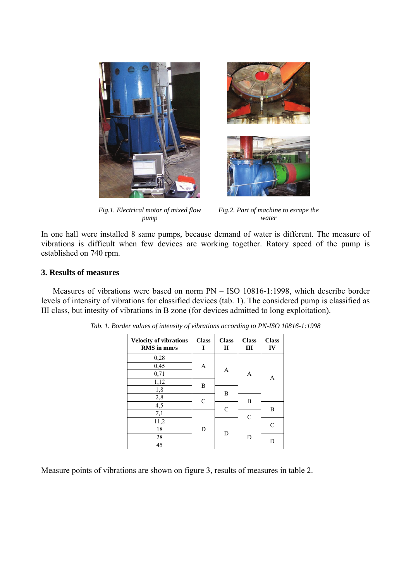



*Fig.1. Electrical motor of mixed flow pump*

*Fig.2. Part of machine to escape the water*

In one hall were installed 8 same pumps, because demand of water is different. The measure of vibrations is difficult when few devices are working together. Ratory speed of the pump is established on 740 rpm.

### **3. Results of measures**

Measures of vibrations were based on norm PN – ISO 10816-1:1998, which describe border levels of intensity of vibrations for classified devices (tab. 1). The considered pump is classified as III class, but intesity of vibrations in B zone (for devices admitted to long exploitation).

| <b>Velocity of vibrations</b><br>RMS in mm/s | <b>Class</b><br>I | <b>Class</b><br>$\mathbf{I}$ | <b>Class</b><br>Ш | <b>Class</b><br>IV |  |
|----------------------------------------------|-------------------|------------------------------|-------------------|--------------------|--|
| 0,28                                         |                   |                              |                   |                    |  |
| 0,45                                         | Α                 | A                            | A                 | A                  |  |
| 0,71                                         |                   |                              |                   |                    |  |
| 1,12                                         | B                 |                              |                   |                    |  |
| 1,8                                          |                   | B                            |                   |                    |  |
| 2,8                                          | $\mathsf{C}$      |                              | B                 |                    |  |
| $\overline{4,5}$                             |                   |                              |                   |                    |  |
| 7,1                                          |                   | $\mathsf{C}$                 | C                 | B                  |  |
| 11,2                                         |                   |                              |                   | $\subset$          |  |
| 18                                           | D                 | D                            | D                 |                    |  |
| 28                                           |                   |                              |                   |                    |  |
| 45                                           |                   |                              |                   |                    |  |

|  |  |  | Tab. 1. Border values of intensity of vibrations according to PN-ISO 10816-1:1998 |  |  |
|--|--|--|-----------------------------------------------------------------------------------|--|--|
|  |  |  |                                                                                   |  |  |

Measure points of vibrations are shown on figure 3, results of measures in table 2.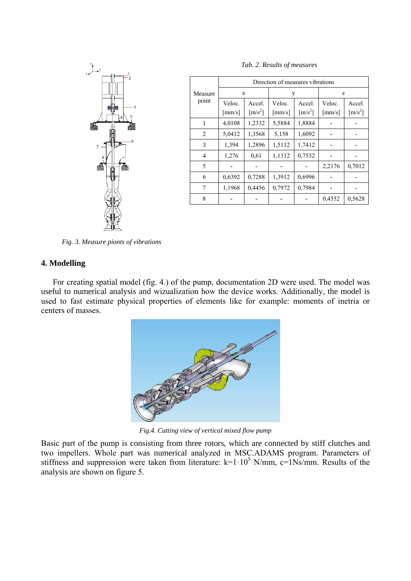

|                  | Direction of measures vibrations |                                       |                                  |                                       |                                  |                                       |  |
|------------------|----------------------------------|---------------------------------------|----------------------------------|---------------------------------------|----------------------------------|---------------------------------------|--|
| Measure<br>point | X                                |                                       | y                                |                                       | Z                                |                                       |  |
|                  | Veloc.<br>$\lceil$ mm/s $\rceil$ | Accel.<br>$\left[\text{m/s}^2\right]$ | Veloc.<br>$\lceil$ mm/s $\rceil$ | Accel.<br>$\left[\text{m/s}^2\right]$ | Veloc.<br>$\lceil$ mm/s $\rceil$ | Accel.<br>$\left[\text{m/s}^2\right]$ |  |
| 1                | 4,0108                           | 1,2332                                | 5,5884                           | 1,8884                                |                                  |                                       |  |
| 2                | 5,0412                           | 1,3568                                | 5,158                            | 1,6092                                |                                  |                                       |  |
| 3                | 1.394                            | 1,2896                                | 1,5112                           | 1,7412                                |                                  |                                       |  |
| 4                | 1,276                            | 0.61                                  | 1,1312                           | 0,7532                                |                                  |                                       |  |
| 5                |                                  |                                       |                                  |                                       | 2,2176                           | 0,7012                                |  |
| 6                | 0,6392                           | 0,7288                                | 1,3912                           | 0,6996                                |                                  |                                       |  |
| 7                | 1,1968                           | 0,4456                                | 0,7972                           | 0,7984                                |                                  |                                       |  |
| 8                |                                  |                                       |                                  |                                       | 0,4552                           | 0,5628                                |  |

*Tab. 2. Results of measures*

*Fig. 3. Measure pionts of vibrations* 

### **4. Modelling**

For creating spatial model (fig. 4.) of the pump, documentation 2D were used. The model was useful to numerical analysis and wizualization how the device works. Additionally, the model is used to fast estimate physical properties of elements like for example: moments of inetria or centers of masses.



*Fig.4. Cutting view of vertical mixed flow pump*

Basic part of the pump is consisting from three rotors, which are connected by stiff clutches and two impellers. Whole part was numerical analyzed in MSC.ADAMS program. Parameters of stiffness and suppression were taken from literature:  $k=1.10^5$  N/mm,  $c=1$ Ns/mm. Results of the analysis are shown on figure 5.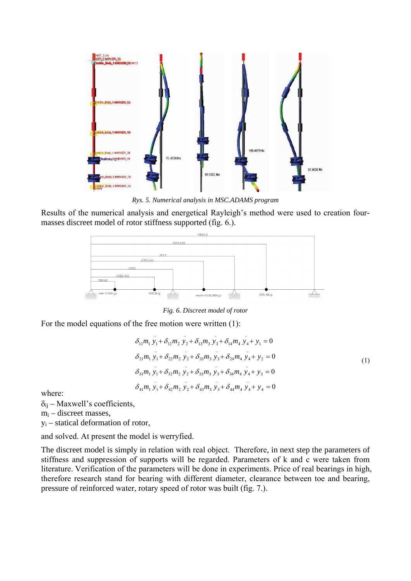

*Rys. 5. Numerical analysis in MSC.ADAMS program*

Results of the numerical analysis and energetical Rayleigh's method were used to creation fourmasses discreet model of rotor stiffness supported (fig. 6.).



*Fig. 6. Discreet model of rotor*

For the model equations of the free motion were written (1):

$$
\delta_{11}m_1 y_1 + \delta_{12}m_2 y_2 + \delta_{13}m_3 y_3 + \delta_{14}m_4 y_4 + y_1 = 0
$$
  
\n
$$
\delta_{21}m_1 y_1 + \delta_{22}m_2 y_2 + \delta_{33}m_3 y_3 + \delta_{24}m_4 y_4 + y_2 = 0
$$
  
\n
$$
\delta_{31}m_1 y_1 + \delta_{32}m_2 y_2 + \delta_{33}m_3 y_3 + \delta_{34}m_4 y_4 + y_3 = 0
$$
  
\n
$$
\delta_{41}m_1 y_1 + \delta_{42}m_2 y_2 + \delta_{43}m_3 y_3 + \delta_{44}m_4 y_4 + y_4 = 0
$$
\n(1)

where:

 $\delta_{ii}$  – Maxwell's coefficients,

 $m_i$  – discreet masses,

 $y_i$  – statical deformation of rotor,

and solved. At present the model is werryfied.

The discreet model is simply in relation with real object. Therefore, in next step the parameters of stiffness and suppression of supports will be regarded. Parameters of k and c were taken from literature. Verification of the parameters will be done in experiments. Price of real bearings in high, therefore research stand for bearing with different diameter, clearance between toe and bearing, pressure of reinforced water, rotary speed of rotor was built (fig. 7.).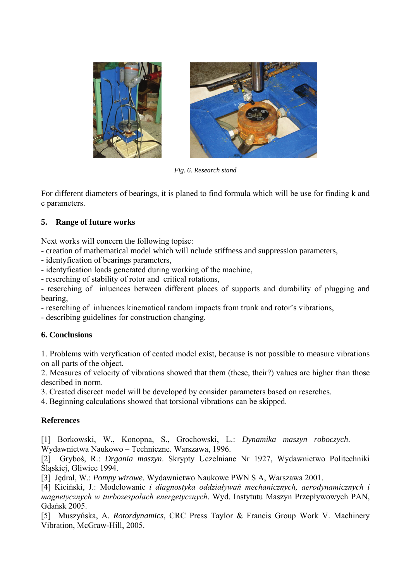



*Fig. 6. Research stand* 

For different diameters of bearings, it is planed to find formula which will be use for finding k and c parameters.

# **5. Range of future works**

Next works will concern the following topisc:

- creation of mathematical model which will nclude stiffness and suppression parameters,
- identyfication of bearings parameters,
- identyfication loads generated during working of the machine,
- reserching of stability of rotor and critical rotations,

- reserching of inluences between different places of supports and durability of plugging and bearing,

- reserching of inluences kinematical random impacts from trunk and rotor's vibrations,

- describing guidelines for construction changing.

# **6. Conclusions**

1. Problems with veryfication of ceated model exist, because is not possible to measure vibrations on all parts of the object.

2. Measures of velocity of vibrations showed that them (these, their?) values are higher than those described in norm.

3. Created discreet model will be developed by consider parameters based on reserches.

4. Beginning calculations showed that torsional vibrations can be skipped.

### **References**

[1] Borkowski, W., Konopna, S., Grochowski, L.: *Dynamika maszyn roboczych*. Wydawnictwa Naukowo – Techniczne. Warszawa, 1996.

[2] Gryboś, R.: *Drgania maszyn*. Skrypty Uczelniane Nr 1927, Wydawnictwo Politechniki Śląskiej, Gliwice 1994.

[3] Jędral, W.: *Pompy wirowe*. Wydawnictwo Naukowe PWN S A, Warszawa 2001.

[4] Kiciński, J.: Modelowanie *i diagnostyka oddziaływań mechanicznych, aerodynamicznych i magnetycznych w turbozespołach energetycznych*. Wyd. Instytutu Maszyn Przepływowych PAN, Gdańsk 2005.

[5] Muszyńska, A. *Rotordynamics*, CRC Press Taylor & Francis Group Work V. Machinery Vibration, McGraw-Hill, 2005.